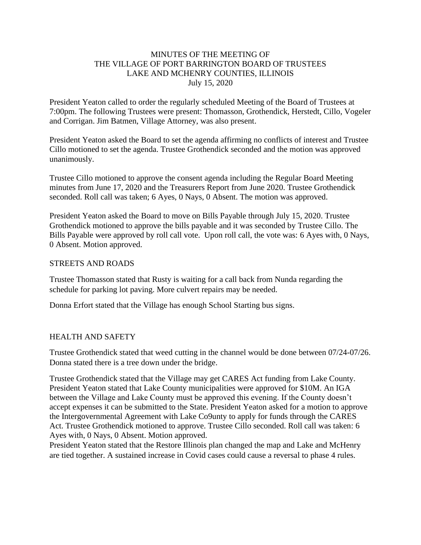## MINUTES OF THE MEETING OF THE VILLAGE OF PORT BARRINGTON BOARD OF TRUSTEES LAKE AND MCHENRY COUNTIES, ILLINOIS July 15, 2020

President Yeaton called to order the regularly scheduled Meeting of the Board of Trustees at 7:00pm. The following Trustees were present: Thomasson, Grothendick, Herstedt, Cillo, Vogeler and Corrigan. Jim Batmen, Village Attorney, was also present.

President Yeaton asked the Board to set the agenda affirming no conflicts of interest and Trustee Cillo motioned to set the agenda. Trustee Grothendick seconded and the motion was approved unanimously.

Trustee Cillo motioned to approve the consent agenda including the Regular Board Meeting minutes from June 17, 2020 and the Treasurers Report from June 2020. Trustee Grothendick seconded. Roll call was taken; 6 Ayes, 0 Nays, 0 Absent. The motion was approved.

President Yeaton asked the Board to move on Bills Payable through July 15, 2020. Trustee Grothendick motioned to approve the bills payable and it was seconded by Trustee Cillo. The Bills Payable were approved by roll call vote. Upon roll call, the vote was: 6 Ayes with, 0 Nays, 0 Absent. Motion approved.

#### STREETS AND ROADS

Trustee Thomasson stated that Rusty is waiting for a call back from Nunda regarding the schedule for parking lot paving. More culvert repairs may be needed.

Donna Erfort stated that the Village has enough School Starting bus signs.

## HEALTH AND SAFETY

Trustee Grothendick stated that weed cutting in the channel would be done between 07/24-07/26. Donna stated there is a tree down under the bridge.

Trustee Grothendick stated that the Village may get CARES Act funding from Lake County. President Yeaton stated that Lake County municipalities were approved for \$10M. An IGA between the Village and Lake County must be approved this evening. If the County doesn't accept expenses it can be submitted to the State. President Yeaton asked for a motion to approve the Intergovernmental Agreement with Lake Co9unty to apply for funds through the CARES Act. Trustee Grothendick motioned to approve. Trustee Cillo seconded. Roll call was taken: 6 Ayes with, 0 Nays, 0 Absent. Motion approved.

President Yeaton stated that the Restore Illinois plan changed the map and Lake and McHenry are tied together. A sustained increase in Covid cases could cause a reversal to phase 4 rules.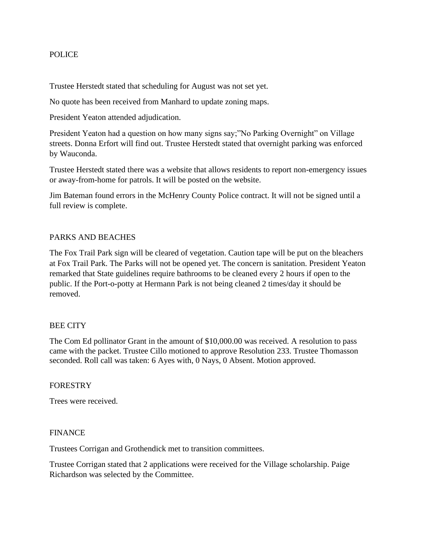## POLICE

Trustee Herstedt stated that scheduling for August was not set yet.

No quote has been received from Manhard to update zoning maps.

President Yeaton attended adjudication.

President Yeaton had a question on how many signs say;"No Parking Overnight" on Village streets. Donna Erfort will find out. Trustee Herstedt stated that overnight parking was enforced by Wauconda.

Trustee Herstedt stated there was a website that allows residents to report non-emergency issues or away-from-home for patrols. It will be posted on the website.

Jim Bateman found errors in the McHenry County Police contract. It will not be signed until a full review is complete.

## PARKS AND BEACHES

The Fox Trail Park sign will be cleared of vegetation. Caution tape will be put on the bleachers at Fox Trail Park. The Parks will not be opened yet. The concern is sanitation. President Yeaton remarked that State guidelines require bathrooms to be cleaned every 2 hours if open to the public. If the Port-o-potty at Hermann Park is not being cleaned 2 times/day it should be removed.

## BEE CITY

The Com Ed pollinator Grant in the amount of \$10,000.00 was received. A resolution to pass came with the packet. Trustee Cillo motioned to approve Resolution 233. Trustee Thomasson seconded. Roll call was taken: 6 Ayes with, 0 Nays, 0 Absent. Motion approved.

#### **FORESTRY**

Trees were received.

#### FINANCE

Trustees Corrigan and Grothendick met to transition committees.

Trustee Corrigan stated that 2 applications were received for the Village scholarship. Paige Richardson was selected by the Committee.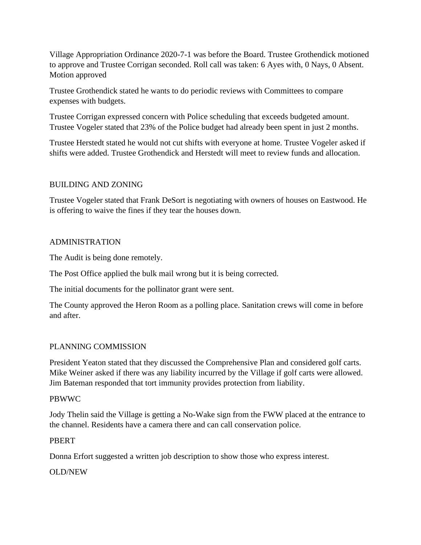Village Appropriation Ordinance 2020-7-1 was before the Board. Trustee Grothendick motioned to approve and Trustee Corrigan seconded. Roll call was taken: 6 Ayes with, 0 Nays, 0 Absent. Motion approved

Trustee Grothendick stated he wants to do periodic reviews with Committees to compare expenses with budgets.

Trustee Corrigan expressed concern with Police scheduling that exceeds budgeted amount. Trustee Vogeler stated that 23% of the Police budget had already been spent in just 2 months.

Trustee Herstedt stated he would not cut shifts with everyone at home. Trustee Vogeler asked if shifts were added. Trustee Grothendick and Herstedt will meet to review funds and allocation.

# BUILDING AND ZONING

Trustee Vogeler stated that Frank DeSort is negotiating with owners of houses on Eastwood. He is offering to waive the fines if they tear the houses down.

## ADMINISTRATION

The Audit is being done remotely.

The Post Office applied the bulk mail wrong but it is being corrected.

The initial documents for the pollinator grant were sent.

The County approved the Heron Room as a polling place. Sanitation crews will come in before and after.

## PLANNING COMMISSION

President Yeaton stated that they discussed the Comprehensive Plan and considered golf carts. Mike Weiner asked if there was any liability incurred by the Village if golf carts were allowed. Jim Bateman responded that tort immunity provides protection from liability.

## PBWWC

Jody Thelin said the Village is getting a No-Wake sign from the FWW placed at the entrance to the channel. Residents have a camera there and can call conservation police.

## PBERT

Donna Erfort suggested a written job description to show those who express interest.

## OLD/NEW